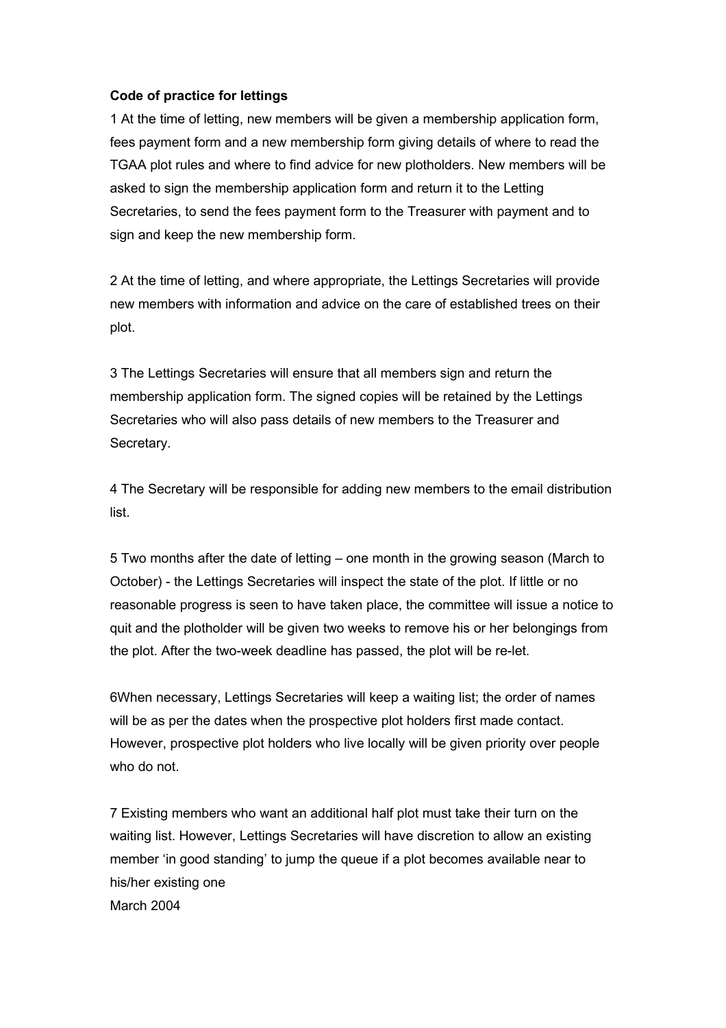#### **Code of practice for lettings**

1 At the time of letting, new members will be given a membership application form, fees payment form and a new membership form giving details of where to read the TGAA plot rules and where to find advice for new plotholders. New members will be asked to sign the membership application form and return it to the Letting Secretaries, to send the fees payment form to the Treasurer with payment and to sign and keep the new membership form.

2 At the time of letting, and where appropriate, the Lettings Secretaries will provide new members with information and advice on the care of established trees on their plot.

3 The Lettings Secretaries will ensure that all members sign and return the membership application form. The signed copies will be retained by the Lettings Secretaries who will also pass details of new members to the Treasurer and Secretary.

4 The Secretary will be responsible for adding new members to the email distribution list.

5 Two months after the date of letting – one month in the growing season (March to October) - the Lettings Secretaries will inspect the state of the plot. If little or no reasonable progress is seen to have taken place, the committee will issue a notice to quit and the plotholder will be given two weeks to remove his or her belongings from the plot. After the two-week deadline has passed, the plot will be re-let.

6When necessary, Lettings Secretaries will keep a waiting list; the order of names will be as per the dates when the prospective plot holders first made contact. However, prospective plot holders who live locally will be given priority over people who do not.

7 Existing members who want an additional half plot must take their turn on the waiting list. However, Lettings Secretaries will have discretion to allow an existing member 'in good standing' to jump the queue if a plot becomes available near to his/her existing one March 2004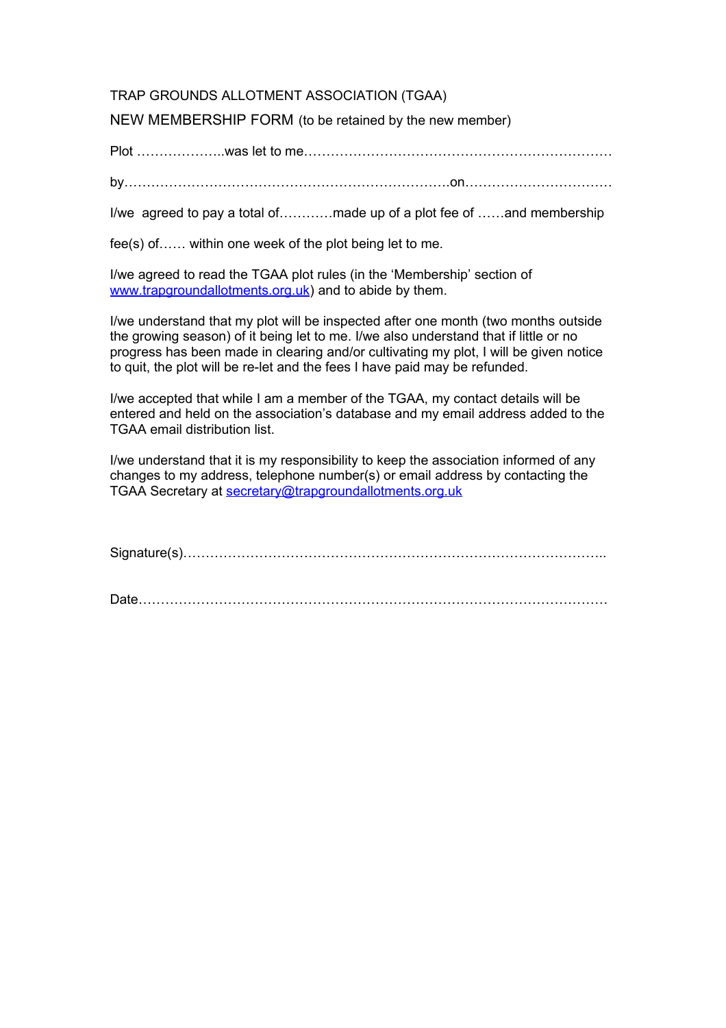#### TRAP GROUNDS ALLOTMENT ASSOCIATION (TGAA)

NEW MEMBERSHIP FORM (to be retained by the new member)

Plot ………………..was let to me……………………………………………………………

by……………………………………………………………….on……………………………

I/we agreed to pay a total of…………made up of a plot fee of ……and membership

fee(s) of…… within one week of the plot being let to me.

I/we agreed to read the TGAA plot rules (in the 'Membership' section of [www.trapgroundallotments.org.uk\)](http://www.trapgroundallotments.org.uk/) and to abide by them.

I/we understand that my plot will be inspected after one month (two months outside the growing season) of it being let to me. I/we also understand that if little or no progress has been made in clearing and/or cultivating my plot, I will be given notice to quit, the plot will be re-let and the fees I have paid may be refunded.

I/we accepted that while I am a member of the TGAA, my contact details will be entered and held on the association's database and my email address added to the TGAA email distribution list.

I/we understand that it is my responsibility to keep the association informed of any changes to my address, telephone number(s) or email address by contacting the TGAA Secretary at [secretary@trapgroundallotments.org.uk](mailto:secretary@trapgroundallotments.org.uk)

Signature(s)…………………………………………………………………………………..

Date……………………………………………………………………………………………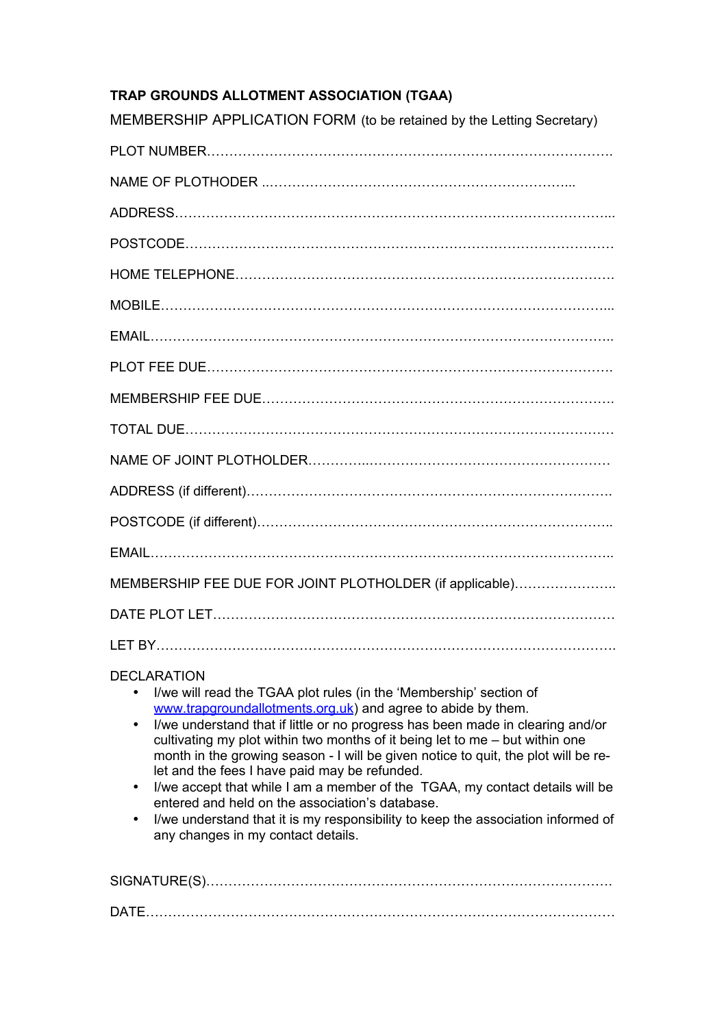## **TRAP GROUNDS ALLOTMENT ASSOCIATION (TGAA)**

MEMBERSHIP APPLICATION FORM (to be retained by the Letting Secretary)

PLOT NUMBER………………………………………………………………………………. NAME OF PLOTHODER ..…………………………………………………………... ADDRESS……………………………………………………………………………………... POSTCODE…………………………………………………………………………………… HOME TELEPHONE…………………………………………………………………………. MOBILE………………………………………………………………………………………... EMAIL………………………………………………………………………………………….. PLOT FEE DUE………………………………………………………………………………. MEMBERSHIP FEE DUE……………………………………………………………………. TOTAL DUE…………………………………………………………………………………… NAME OF JOINT PLOTHOLDER…………..……………………………………………… ADDRESS (if different)………………………………………………………………………. POSTCODE (if different)…………………………………………………………………….. EMAIL………………………………………………………………………………………….. MEMBERSHIP FEE DUE FOR JOINT PLOTHOLDER (if applicable)………………….. DATE PLOT LET LET BY………………………………………………………………………………………….

### DECLARATION

- I/we will read the TGAA plot rules (in the 'Membership' section of [www.trapgroundallotments.org.uk\)](http://www.trapgroundallotments.org.uk/) and agree to abide by them.
- I/we understand that if little or no progress has been made in clearing and/or cultivating my plot within two months of it being let to me – but within one month in the growing season - I will be given notice to quit, the plot will be relet and the fees I have paid may be refunded.
- I/we accept that while I am a member of the TGAA, my contact details will be entered and held on the association's database.
- I/we understand that it is my responsibility to keep the association informed of any changes in my contact details.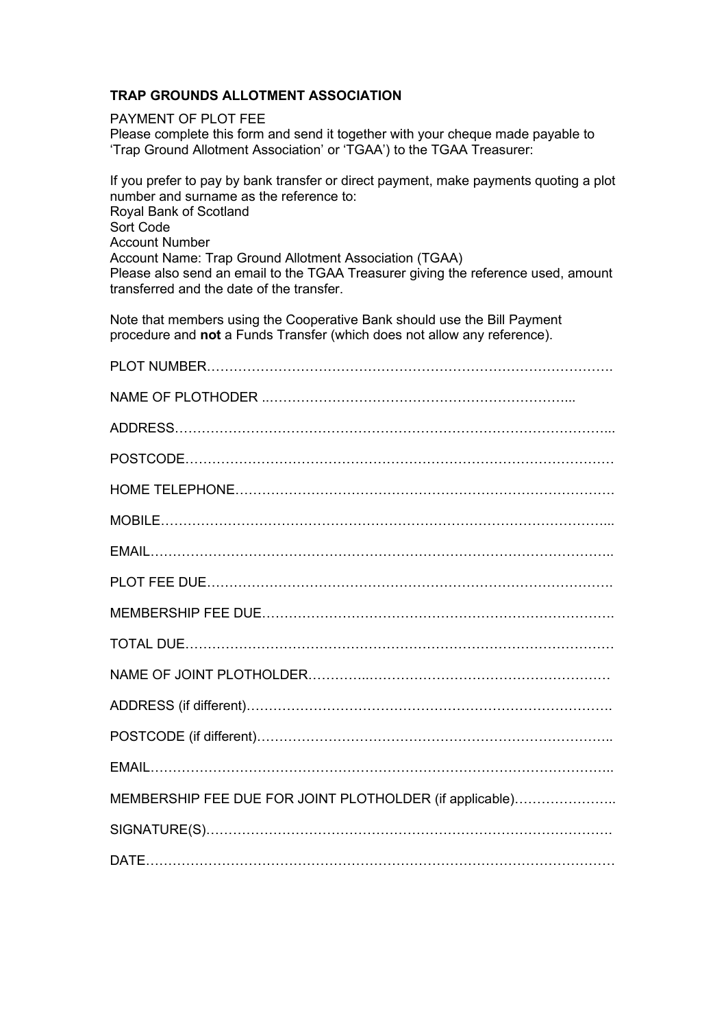#### **TRAP GROUNDS ALLOTMENT ASSOCIATION**

PAYMENT OF PLOT FEE

Please complete this form and send it together with your cheque made payable to 'Trap Ground Allotment Association' or 'TGAA') to the TGAA Treasurer:

If you prefer to pay by bank transfer or direct payment, make payments quoting a plot number and surname as the reference to: Royal Bank of Scotland Sort Code Account Number Account Name: Trap Ground Allotment Association (TGAA) Please also send an email to the TGAA Treasurer giving the reference used, amount transferred and the date of the transfer.

Note that members using the Cooperative Bank should use the Bill Payment procedure and **not** a Funds Transfer (which does not allow any reference).

| MEMBERSHIP FEE DUE FOR JOINT PLOTHOLDER (if applicable) |
|---------------------------------------------------------|
|                                                         |
|                                                         |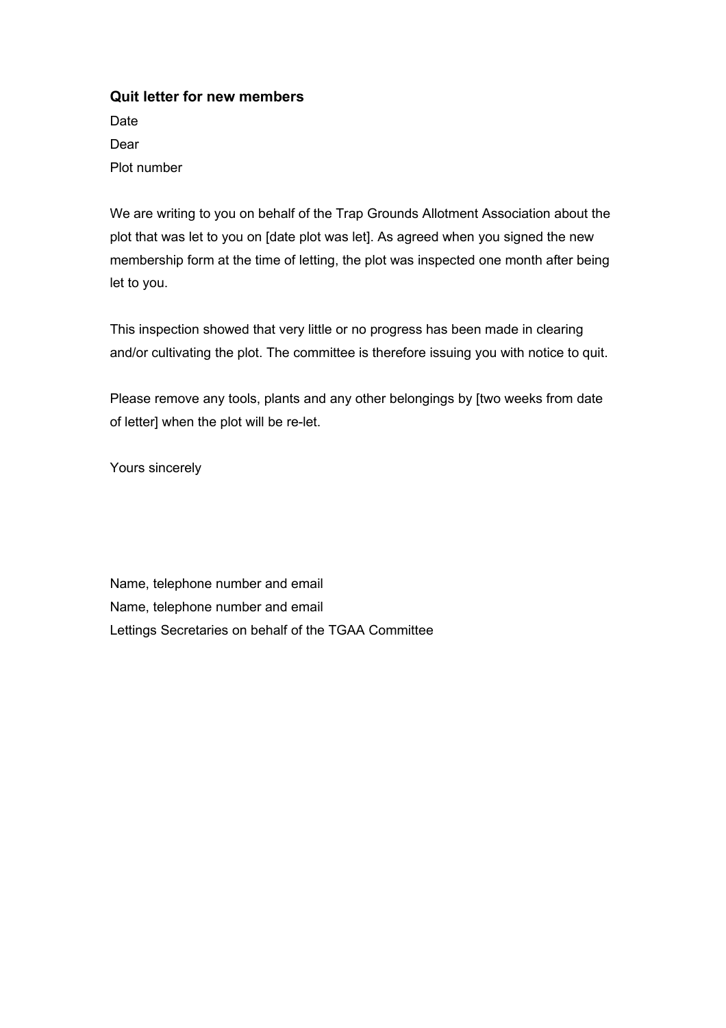#### **Quit letter for new members**

Date Dear Plot number

We are writing to you on behalf of the Trap Grounds Allotment Association about the plot that was let to you on [date plot was let]. As agreed when you signed the new membership form at the time of letting, the plot was inspected one month after being let to you.

This inspection showed that very little or no progress has been made in clearing and/or cultivating the plot. The committee is therefore issuing you with notice to quit.

Please remove any tools, plants and any other belongings by [two weeks from date of letter] when the plot will be re-let.

Yours sincerely

Name, telephone number and email Name, telephone number and email Lettings Secretaries on behalf of the TGAA Committee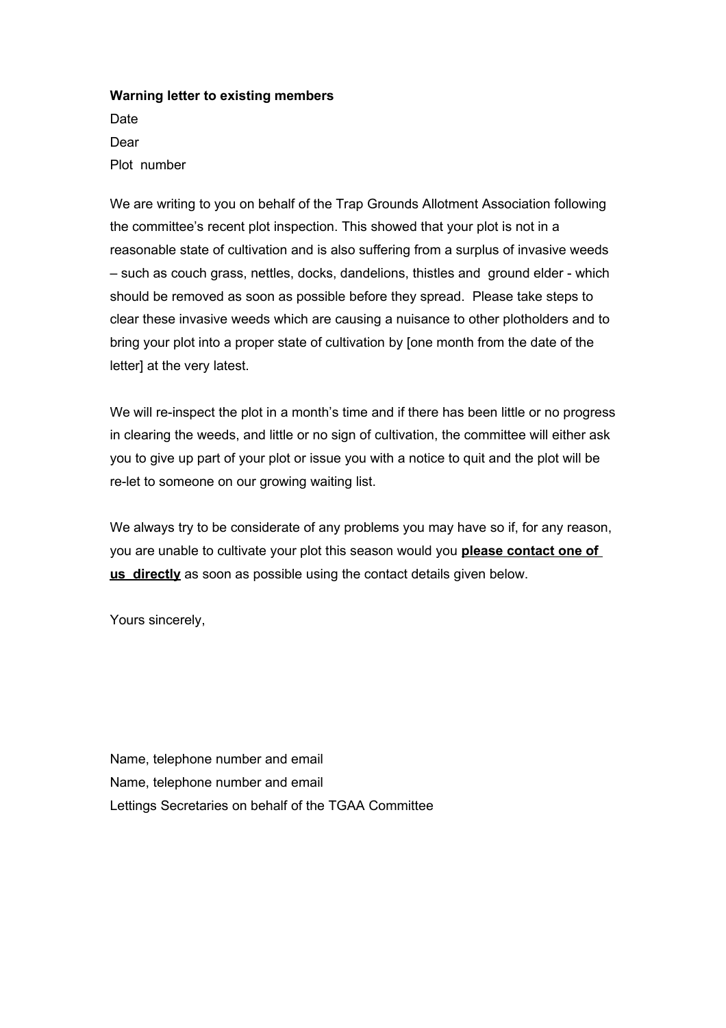#### **Warning letter to existing members**

Date Dear Plot number

We are writing to you on behalf of the Trap Grounds Allotment Association following the committee's recent plot inspection. This showed that your plot is not in a reasonable state of cultivation and is also suffering from a surplus of invasive weeds – such as couch grass, nettles, docks, dandelions, thistles and ground elder - which should be removed as soon as possible before they spread. Please take steps to clear these invasive weeds which are causing a nuisance to other plotholders and to bring your plot into a proper state of cultivation by [one month from the date of the letter] at the very latest.

We will re-inspect the plot in a month's time and if there has been little or no progress in clearing the weeds, and little or no sign of cultivation, the committee will either ask you to give up part of your plot or issue you with a notice to quit and the plot will be re-let to someone on our growing waiting list.

We always try to be considerate of any problems you may have so if, for any reason, you are unable to cultivate your plot this season would you **please contact one of us directly** as soon as possible using the contact details given below.

Yours sincerely,

Name, telephone number and email Name, telephone number and email Lettings Secretaries on behalf of the TGAA Committee